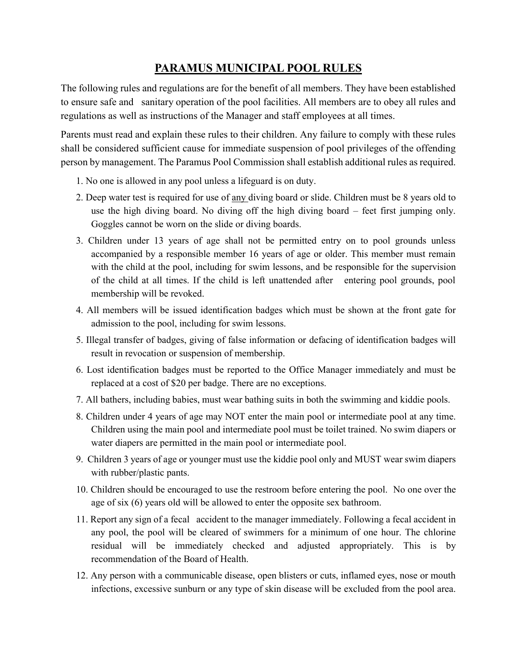## **PARAMUS MUNICIPAL POOL RULES**

The following rules and regulations are for the benefit of all members. They have been established to ensure safe and sanitary operation of the pool facilities. All members are to obey all rules and regulations as well as instructions of the Manager and staff employees at all times.

Parents must read and explain these rules to their children. Any failure to comply with these rules shall be considered sufficient cause for immediate suspension of pool privileges of the offending person by management. The Paramus Pool Commission shall establish additional rules as required.

- 1. No one is allowed in any pool unless a lifeguard is on duty.
- 2. Deep water test is required for use of any diving board or slide. Children must be 8 years old to use the high diving board. No diving off the high diving board – feet first jumping only. Goggles cannot be worn on the slide or diving boards.
- 3. Children under 13 years of age shall not be permitted entry on to pool grounds unless accompanied by a responsible member 16 years of age or older. This member must remain with the child at the pool, including for swim lessons, and be responsible for the supervision of the child at all times. If the child is left unattended after entering pool grounds, pool membership will be revoked.
- 4. All members will be issued identification badges which must be shown at the front gate for admission to the pool, including for swim lessons.
- 5. Illegal transfer of badges, giving of false information or defacing of identification badges will result in revocation or suspension of membership.
- 6. Lost identification badges must be reported to the Office Manager immediately and must be replaced at a cost of \$20 per badge. There are no exceptions.
- 7. All bathers, including babies, must wear bathing suits in both the swimming and kiddie pools.
- 8. Children under 4 years of age may NOT enter the main pool or intermediate pool at any time. Children using the main pool and intermediate pool must be toilet trained. No swim diapers or water diapers are permitted in the main pool or intermediate pool.
- 9. Children 3 years of age or younger must use the kiddie pool only and MUST wear swim diapers with rubber/plastic pants.
- 10. Children should be encouraged to use the restroom before entering the pool. No one over the age of six (6) years old will be allowed to enter the opposite sex bathroom.
- 11. Report any sign of a fecal accident to the manager immediately. Following a fecal accident in any pool, the pool will be cleared of swimmers for a minimum of one hour. The chlorine residual will be immediately checked and adjusted appropriately. This is by recommendation of the Board of Health.
- 12. Any person with a communicable disease, open blisters or cuts, inflamed eyes, nose or mouth infections, excessive sunburn or any type of skin disease will be excluded from the pool area.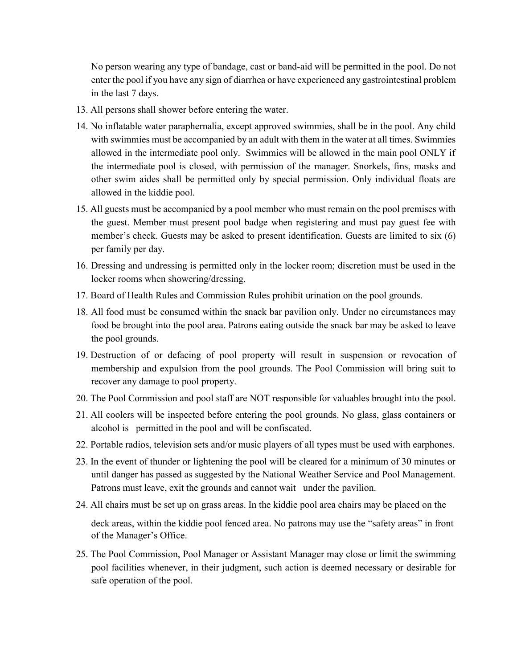No person wearing any type of bandage, cast or band-aid will be permitted in the pool. Do not enter the pool if you have any sign of diarrhea or have experienced any gastrointestinal problem in the last 7 days.

- 13. All persons shall shower before entering the water.
- 14. No inflatable water paraphernalia, except approved swimmies, shall be in the pool. Any child with swimmies must be accompanied by an adult with them in the water at all times. Swimmies allowed in the intermediate pool only. Swimmies will be allowed in the main pool ONLY if the intermediate pool is closed, with permission of the manager. Snorkels, fins, masks and other swim aides shall be permitted only by special permission. Only individual floats are allowed in the kiddie pool.
- 15. All guests must be accompanied by a pool member who must remain on the pool premises with the guest. Member must present pool badge when registering and must pay guest fee with member's check. Guests may be asked to present identification. Guests are limited to six (6) per family per day.
- 16. Dressing and undressing is permitted only in the locker room; discretion must be used in the locker rooms when showering/dressing.
- 17. Board of Health Rules and Commission Rules prohibit urination on the pool grounds.
- 18. All food must be consumed within the snack bar pavilion only. Under no circumstances may food be brought into the pool area. Patrons eating outside the snack bar may be asked to leave the pool grounds.
- 19. Destruction of or defacing of pool property will result in suspension or revocation of membership and expulsion from the pool grounds. The Pool Commission will bring suit to recover any damage to pool property.
- 20. The Pool Commission and pool staff are NOT responsible for valuables brought into the pool.
- 21. All coolers will be inspected before entering the pool grounds. No glass, glass containers or alcohol is permitted in the pool and will be confiscated.
- 22. Portable radios, television sets and/or music players of all types must be used with earphones.
- 23. In the event of thunder or lightening the pool will be cleared for a minimum of 30 minutes or until danger has passed as suggested by the National Weather Service and Pool Management. Patrons must leave, exit the grounds and cannot wait under the pavilion.
- 24. All chairs must be set up on grass areas. In the kiddie pool area chairs may be placed on the

deck areas, within the kiddie pool fenced area. No patrons may use the "safety areas" in front of the Manager's Office.

25. The Pool Commission, Pool Manager or Assistant Manager may close or limit the swimming pool facilities whenever, in their judgment, such action is deemed necessary or desirable for safe operation of the pool.